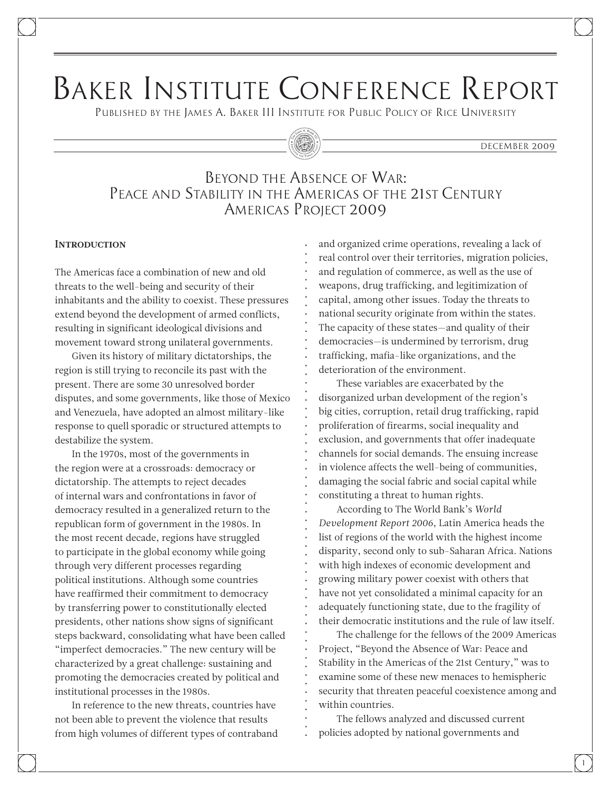# Baker Institute Conference Report

Published by the James A. Baker III Institute for Public Policy of Rice University

#### DECEMBER 2009

# Beyond the Absence of War: Peace and Stability in the Americas of the 21st Century Americas Project 2009

#### **INTRODUCTION**

The Americas face a combination of new and old threats to the well-being and security of their inhabitants and the ability to coexist. These pressures extend beyond the development of armed conflicts, resulting in significant ideological divisions and movement toward strong unilateral governments.

Given its history of military dictatorships, the region is still trying to reconcile its past with the present. There are some 30 unresolved border disputes, and some governments, like those of Mexico and Venezuela, have adopted an almost military-like response to quell sporadic or structured attempts to destabilize the system.

In the 1970s, most of the governments in the region were at a crossroads: democracy or dictatorship. The attempts to reject decades of internal wars and confrontations in favor of democracy resulted in a generalized return to the republican form of government in the 1980s. In the most recent decade, regions have struggled to participate in the global economy while going through very different processes regarding political institutions. Although some countries have reaffirmed their commitment to democracy by transferring power to constitutionally elected presidents, other nations show signs of significant steps backward, consolidating what have been called "imperfect democracies." The new century will be characterized by a great challenge: sustaining and promoting the democracies created by political and institutional processes in the 1980s.

In reference to the new threats, countries have not been able to prevent the violence that results from high volumes of different types of contraband and organized crime operations, revealing a lack of real control over their territories, migration policies, and regulation of commerce, as well as the use of weapons, drug trafficking, and legitimization of capital, among other issues. Today the threats to national security originate from within the states. The capacity of these states—and quality of their democracies—is undermined by terrorism, drug trafficking, mafia-like organizations, and the deterioration of the environment.

These variables are exacerbated by the disorganized urban development of the region's big cities, corruption, retail drug trafficking, rapid proliferation of firearms, social inequality and exclusion, and governments that offer inadequate channels for social demands. The ensuing increase in violence affects the well-being of communities, damaging the social fabric and social capital while constituting a threat to human rights.

According to The World Bank's *World Development Report 2006*, Latin America heads the list of regions of the world with the highest income disparity, second only to sub-Saharan Africa. Nations with high indexes of economic development and growing military power coexist with others that have not yet consolidated a minimal capacity for an adequately functioning state, due to the fragility of their democratic institutions and the rule of law itself.

The challenge for the fellows of the 2009 Americas Project, "Beyond the Absence of War: Peace and Stability in the Americas of the 21st Century," was to examine some of these new menaces to hemispheric security that threaten peaceful coexistence among and within countries.

The fellows analyzed and discussed current policies adopted by national governments and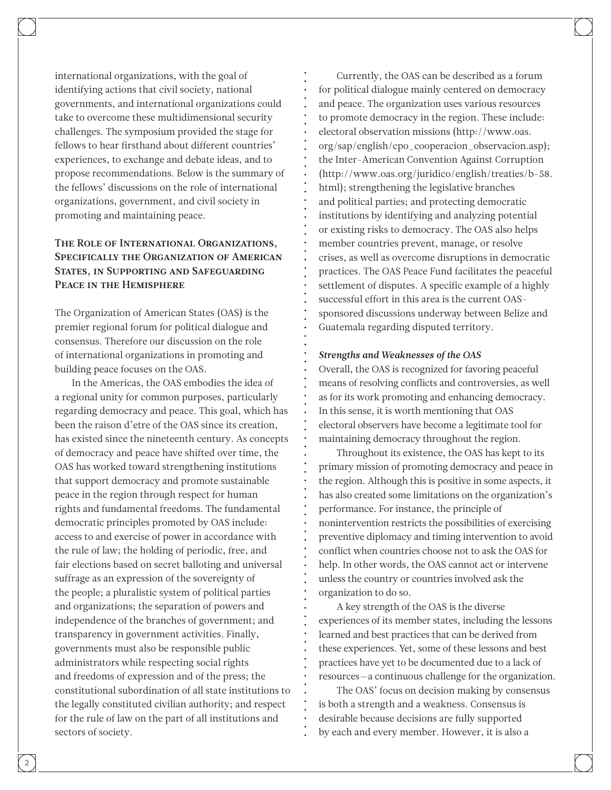international organizations, with the goal of identifying actions that civil society, national governments, and international organizations could take to overcome these multidimensional security challenges. The symposium provided the stage for fellows to hear firsthand about different countries' experiences, to exchange and debate ideas, and to propose recommendations. Below is the summary of the fellows' discussions on the role of international organizations, government, and civil society in promoting and maintaining peace.

# The Role of International Organizations, Specifically the Organization of American States, in Supporting and Safeguarding Peace in the Hemisphere

The Organization of American States (OAS) is the premier regional forum for political dialogue and consensus. Therefore our discussion on the role of international organizations in promoting and building peace focuses on the OAS.

In the Americas, the OAS embodies the idea of a regional unity for common purposes, particularly regarding democracy and peace. This goal, which has been the raison d'etre of the OAS since its creation, has existed since the nineteenth century. As concepts of democracy and peace have shifted over time, the OAS has worked toward strengthening institutions that support democracy and promote sustainable peace in the region through respect for human rights and fundamental freedoms. The fundamental democratic principles promoted by OAS include: access to and exercise of power in accordance with the rule of law; the holding of periodic, free, and fair elections based on secret balloting and universal suffrage as an expression of the sovereignty of the people; a pluralistic system of political parties and organizations; the separation of powers and independence of the branches of government; and transparency in government activities. Finally, governments must also be responsible public administrators while respecting social rights and freedoms of expression and of the press; the constitutional subordination of all state institutions to the legally constituted civilian authority; and respect for the rule of law on the part of all institutions and sectors of society.

Currently, the OAS can be described as a forum for political dialogue mainly centered on democracy and peace. The organization uses various resources to promote democracy in the region. These include: electoral observation missions [\(http://www.oas.](http://www.oas.org/sap/english/cpo_cooperacion_observacion.asp) [org/sap/english/cpo\\_cooperacion\\_observacion.asp\)](http://www.oas.org/sap/english/cpo_cooperacion_observacion.asp); the Inter-American Convention Against Corruption [\(http://www.oas.org/juridico/english/treaties/b-58.](http://www.oas.org/juridico/english/treaties/b-58.html) [html\)](http://www.oas.org/juridico/english/treaties/b-58.html); strengthening the legislative branches and political parties; and protecting democratic institutions by identifying and analyzing potential or existing risks to democracy. The OAS also helps member countries prevent, manage, or resolve crises, as well as overcome disruptions in democratic practices. The OAS Peace Fund facilitates the peaceful settlement of disputes. A specific example of a highly successful effort in this area is the current OASsponsored discussions underway between Belize and Guatemala regarding disputed territory.

#### *Strengths and Weaknesses of the OAS*

Overall, the OAS is recognized for favoring peaceful means of resolving conflicts and controversies, as well as for its work promoting and enhancing democracy. In this sense, it is worth mentioning that OAS electoral observers have become a legitimate tool for maintaining democracy throughout the region.

Throughout its existence, the OAS has kept to its primary mission of promoting democracy and peace in the region. Although this is positive in some aspects, it has also created some limitations on the organization's performance. For instance, the principle of nonintervention restricts the possibilities of exercising preventive diplomacy and timing intervention to avoid conflict when countries choose not to ask the OAS for help. In other words, the OAS cannot act or intervene unless the country or countries involved ask the organization to do so.

A key strength of the OAS is the diverse experiences of its member states, including the lessons learned and best practices that can be derived from these experiences. Yet, some of these lessons and best practices have yet to be documented due to a lack of resources—a continuous challenge for the organization.

The OAS' focus on decision making by consensus is both a strength and a weakness. Consensus is desirable because decisions are fully supported by each and every member. However, it is also a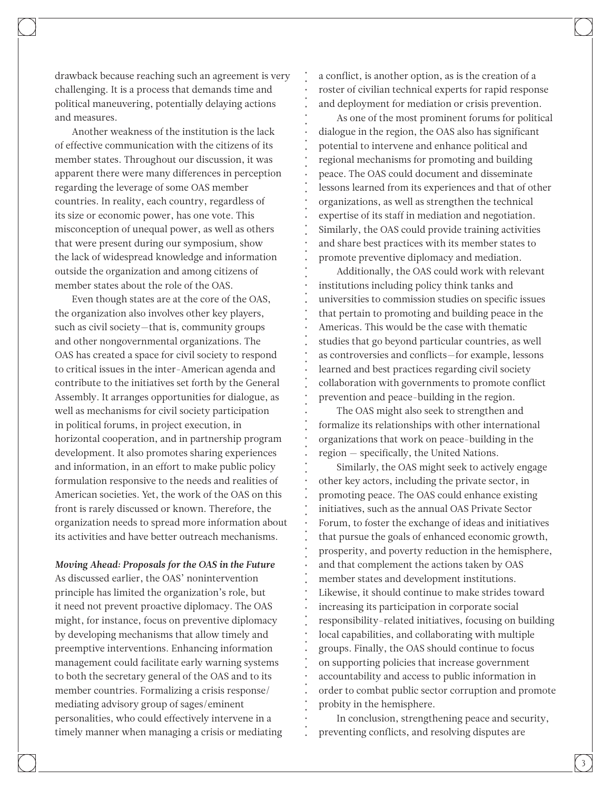drawback because reaching such an agreement is very challenging. It is a process that demands time and political maneuvering, potentially delaying actions and measures.

Another weakness of the institution is the lack of effective communication with the citizens of its member states. Throughout our discussion, it was apparent there were many differences in perception regarding the leverage of some OAS member countries. In reality, each country, regardless of its size or economic power, has one vote. This misconception of unequal power, as well as others that were present during our symposium, show the lack of widespread knowledge and information outside the organization and among citizens of member states about the role of the OAS.

Even though states are at the core of the OAS, the organization also involves other key players, such as civil society—that is, community groups and other nongovernmental organizations. The OAS has created a space for civil society to respond to critical issues in the inter-American agenda and contribute to the initiatives set forth by the General Assembly. It arranges opportunities for dialogue, as well as mechanisms for civil society participation in political forums, in project execution, in horizontal cooperation, and in partnership program development. It also promotes sharing experiences and information, in an effort to make public policy formulation responsive to the needs and realities of American societies. Yet, the work of the OAS on this front is rarely discussed or known. Therefore, the organization needs to spread more information about its activities and have better outreach mechanisms.

#### *Moving Ahead: Proposals for the OAS in the Future*

As discussed earlier, the OAS' nonintervention principle has limited the organization's role, but it need not prevent proactive diplomacy. The OAS might, for instance, focus on preventive diplomacy by developing mechanisms that allow timely and preemptive interventions. Enhancing information management could facilitate early warning systems to both the secretary general of the OAS and to its member countries. Formalizing a crisis response/ mediating advisory group of sages/eminent personalities, who could effectively intervene in a timely manner when managing a crisis or mediating a conflict, is another option, as is the creation of a roster of civilian technical experts for rapid response and deployment for mediation or crisis prevention.

As one of the most prominent forums for political dialogue in the region, the OAS also has significant potential to intervene and enhance political and regional mechanisms for promoting and building peace. The OAS could document and disseminate lessons learned from its experiences and that of other organizations, as well as strengthen the technical expertise of its staff in mediation and negotiation. Similarly, the OAS could provide training activities and share best practices with its member states to promote preventive diplomacy and mediation.

Additionally, the OAS could work with relevant institutions including policy think tanks and universities to commission studies on specific issues that pertain to promoting and building peace in the Americas. This would be the case with thematic studies that go beyond particular countries, as well as controversies and conflicts—for example, lessons learned and best practices regarding civil society collaboration with governments to promote conflict prevention and peace-building in the region.

The OAS might also seek to strengthen and formalize its relationships with other international organizations that work on peace-building in the region - specifically, the United Nations.

Similarly, the OAS might seek to actively engage other key actors, including the private sector, in promoting peace. The OAS could enhance existing initiatives, such as the annual OAS Private Sector Forum, to foster the exchange of ideas and initiatives that pursue the goals of enhanced economic growth, prosperity, and poverty reduction in the hemisphere, and that complement the actions taken by OAS member states and development institutions. Likewise, it should continue to make strides toward increasing its participation in corporate social responsibility-related initiatives, focusing on building local capabilities, and collaborating with multiple groups. Finally, the OAS should continue to focus on supporting policies that increase government accountability and access to public information in order to combat public sector corruption and promote probity in the hemisphere.

In conclusion, strengthening peace and security, preventing conflicts, and resolving disputes are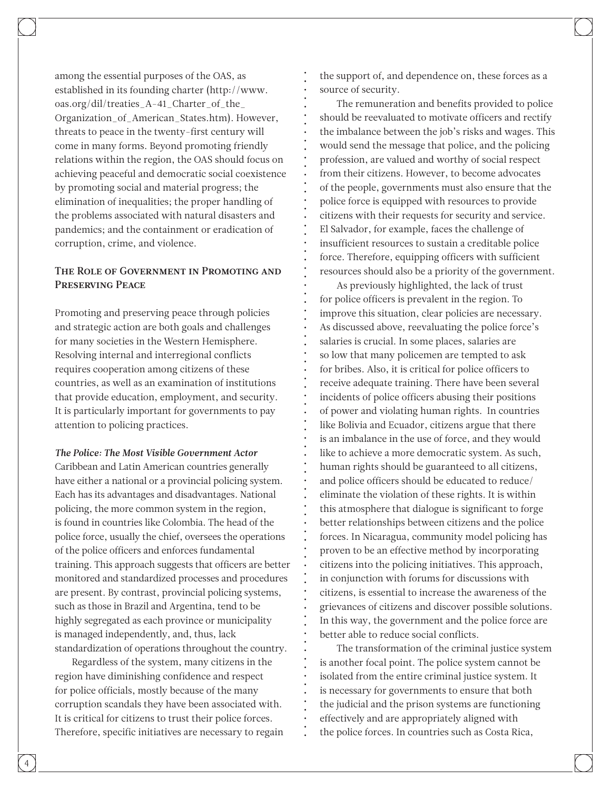among the essential purposes of the OAS, as established in its founding charter [\(http://www.](http://www.oas.org/dil/treaties_A-41_Charter_of_the_Organization_of_American_States.htm) [oas.org/dil/treaties\\_A-41\\_Charter\\_of\\_the\\_](http://www.oas.org/dil/treaties_A-41_Charter_of_the_Organization_of_American_States.htm) [Organization\\_of\\_American\\_States.htm\)](http://www.oas.org/dil/treaties_A-41_Charter_of_the_Organization_of_American_States.htm). However, threats to peace in the twenty-first century will come in many forms. Beyond promoting friendly relations within the region, the OAS should focus on achieving peaceful and democratic social coexistence by promoting social and material progress; the elimination of inequalities; the proper handling of the problems associated with natural disasters and pandemics; and the containment or eradication of corruption, crime, and violence.

## The Role of Government in Promoting and Preserving Peace

Promoting and preserving peace through policies and strategic action are both goals and challenges for many societies in the Western Hemisphere. Resolving internal and interregional conflicts requires cooperation among citizens of these countries, as well as an examination of institutions that provide education, employment, and security. It is particularly important for governments to pay attention to policing practices.

*The Police: The Most Visible Government Actor*

Caribbean and Latin American countries generally have either a national or a provincial policing system. Each has its advantages and disadvantages. National policing, the more common system in the region, is found in countries like Colombia. The head of the police force, usually the chief, oversees the operations of the police officers and enforces fundamental training. This approach suggests that officers are better monitored and standardized processes and procedures are present. By contrast, provincial policing systems, such as those in Brazil and Argentina, tend to be highly segregated as each province or municipality is managed independently, and, thus, lack standardization of operations throughout the country.

Regardless of the system, many citizens in the region have diminishing confidence and respect for police officials, mostly because of the many corruption scandals they have been associated with. It is critical for citizens to trust their police forces. Therefore, specific initiatives are necessary to regain the support of, and dependence on, these forces as a source of security.

The remuneration and benefits provided to police should be reevaluated to motivate officers and rectify the imbalance between the job's risks and wages. This would send the message that police, and the policing profession, are valued and worthy of social respect from their citizens. However, to become advocates of the people, governments must also ensure that the police force is equipped with resources to provide citizens with their requests for security and service. El Salvador, for example, faces the challenge of insufficient resources to sustain a creditable police force. Therefore, equipping officers with sufficient resources should also be a priority of the government.

As previously highlighted, the lack of trust for police officers is prevalent in the region. To improve this situation, clear policies are necessary. As discussed above, reevaluating the police force's salaries is crucial. In some places, salaries are so low that many policemen are tempted to ask for bribes. Also, it is critical for police officers to receive adequate training. There have been several incidents of police officers abusing their positions of power and violating human rights. In countries like Bolivia and Ecuador, citizens argue that there is an imbalance in the use of force, and they would like to achieve a more democratic system. As such, human rights should be guaranteed to all citizens, and police officers should be educated to reduce/ eliminate the violation of these rights. It is within this atmosphere that dialogue is significant to forge better relationships between citizens and the police forces. In Nicaragua, community model policing has proven to be an effective method by incorporating citizens into the policing initiatives. This approach, in conjunction with forums for discussions with citizens, is essential to increase the awareness of the grievances of citizens and discover possible solutions. In this way, the government and the police force are better able to reduce social conflicts.

The transformation of the criminal justice system is another focal point. The police system cannot be isolated from the entire criminal justice system. It is necessary for governments to ensure that both the judicial and the prison systems are functioning effectively and are appropriately aligned with the police forces. In countries such as Costa Rica,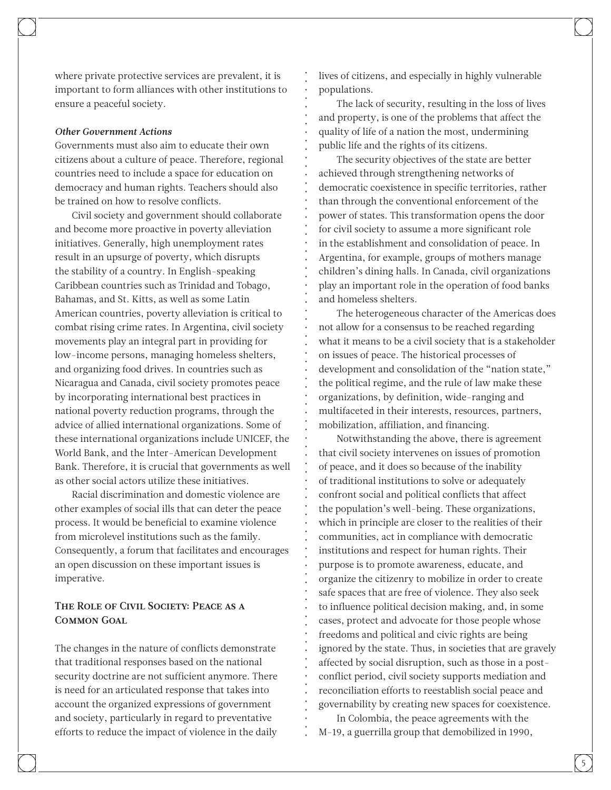where private protective services are prevalent, it is important to form alliances with other institutions to ensure a peaceful society.

#### *Other Government Actions*

Governments must also aim to educate their own citizens about a culture of peace. Therefore, regional countries need to include a space for education on democracy and human rights. Teachers should also be trained on how to resolve conflicts.

Civil society and government should collaborate and become more proactive in poverty alleviation initiatives. Generally, high unemployment rates result in an upsurge of poverty, which disrupts the stability of a country. In English-speaking Caribbean countries such as Trinidad and Tobago, Bahamas, and St. Kitts, as well as some Latin American countries, poverty alleviation is critical to combat rising crime rates. In Argentina, civil society movements play an integral part in providing for low-income persons, managing homeless shelters, and organizing food drives. In countries such as Nicaragua and Canada, civil society promotes peace by incorporating international best practices in national poverty reduction programs, through the advice of allied international organizations. Some of these international organizations include UNICEF, the World Bank, and the Inter-American Development Bank. Therefore, it is crucial that governments as well as other social actors utilize these initiatives.

Racial discrimination and domestic violence are other examples of social ills that can deter the peace process. It would be beneficial to examine violence from microlevel institutions such as the family. Consequently, a forum that facilitates and encourages an open discussion on these important issues is imperative.

## The Role of Civil Society: Peace as a Common Goal

The changes in the nature of conflicts demonstrate that traditional responses based on the national security doctrine are not sufficient anymore. There is need for an articulated response that takes into account the organized expressions of government and society, particularly in regard to preventative efforts to reduce the impact of violence in the daily

lives of citizens, and especially in highly vulnerable populations.

The lack of security, resulting in the loss of lives and property, is one of the problems that affect the quality of life of a nation the most, undermining public life and the rights of its citizens.

The security objectives of the state are better achieved through strengthening networks of democratic coexistence in specific territories, rather than through the conventional enforcement of the power of states. This transformation opens the door for civil society to assume a more significant role in the establishment and consolidation of peace. In Argentina, for example, groups of mothers manage children's dining halls. In Canada, civil organizations play an important role in the operation of food banks and homeless shelters.

The heterogeneous character of the Americas does not allow for a consensus to be reached regarding what it means to be a civil society that is a stakeholder on issues of peace. The historical processes of development and consolidation of the "nation state," the political regime, and the rule of law make these organizations, by definition, wide-ranging and multifaceted in their interests, resources, partners, mobilization, affiliation, and financing.

Notwithstanding the above, there is agreement that civil society intervenes on issues of promotion of peace, and it does so because of the inability of traditional institutions to solve or adequately confront social and political conflicts that affect the population's well-being. These organizations, which in principle are closer to the realities of their communities, act in compliance with democratic institutions and respect for human rights. Their purpose is to promote awareness, educate, and organize the citizenry to mobilize in order to create safe spaces that are free of violence. They also seek to influence political decision making, and, in some cases, protect and advocate for those people whose freedoms and political and civic rights are being ignored by the state. Thus, in societies that are gravely affected by social disruption, such as those in a postconflict period, civil society supports mediation and reconciliation efforts to reestablish social peace and governability by creating new spaces for coexistence.

In Colombia, the peace agreements with the M-19, a guerrilla group that demobilized in 1990,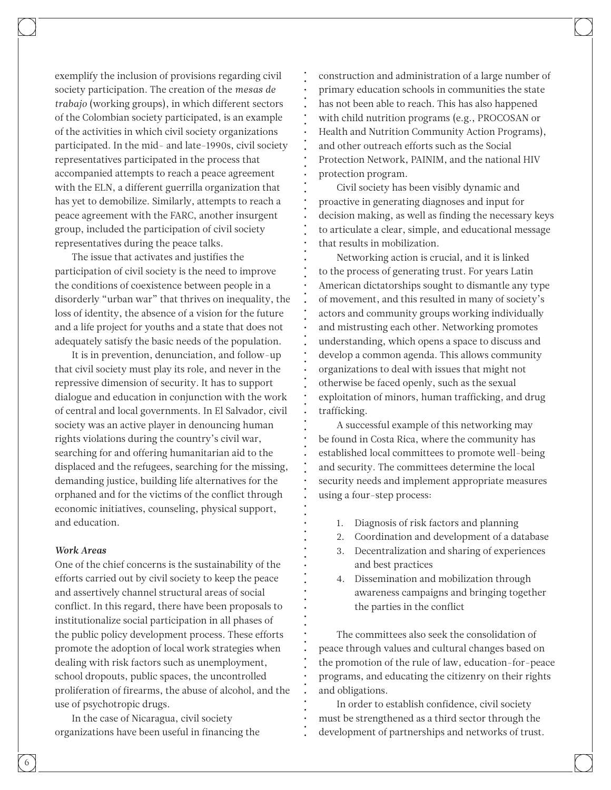exemplify the inclusion of provisions regarding civil society participation. The creation of the *mesas de trabajo* (working groups), in which different sectors of the Colombian society participated, is an example of the activities in which civil society organizations participated. In the mid- and late-1990s, civil society representatives participated in the process that accompanied attempts to reach a peace agreement with the ELN, a different guerrilla organization that has yet to demobilize. Similarly, attempts to reach a peace agreement with the FARC, another insurgent group, included the participation of civil society representatives during the peace talks.

The issue that activates and justifies the participation of civil society is the need to improve the conditions of coexistence between people in a disorderly "urban war" that thrives on inequality, the loss of identity, the absence of a vision for the future and a life project for youths and a state that does not adequately satisfy the basic needs of the population.

It is in prevention, denunciation, and follow-up that civil society must play its role, and never in the repressive dimension of security. It has to support dialogue and education in conjunction with the work of central and local governments. In El Salvador, civil society was an active player in denouncing human rights violations during the country's civil war, searching for and offering humanitarian aid to the displaced and the refugees, searching for the missing, demanding justice, building life alternatives for the orphaned and for the victims of the conflict through economic initiatives, counseling, physical support, and education.

#### *Work Areas*

One of the chief concerns is the sustainability of the efforts carried out by civil society to keep the peace and assertively channel structural areas of social conflict. In this regard, there have been proposals to institutionalize social participation in all phases of the public policy development process. These efforts promote the adoption of local work strategies when dealing with risk factors such as unemployment, school dropouts, public spaces, the uncontrolled proliferation of firearms, the abuse of alcohol, and the use of psychotropic drugs.

In the case of Nicaragua, civil society organizations have been useful in financing the

construction and administration of a large number of primary education schools in communities the state has not been able to reach. This has also happened with child nutrition programs (e.g., PROCOSAN or Health and Nutrition Community Action Programs), and other outreach efforts such as the Social Protection Network, PAINIM, and the national HIV protection program.

Civil society has been visibly dynamic and proactive in generating diagnoses and input for decision making, as well as finding the necessary keys to articulate a clear, simple, and educational message that results in mobilization.

Networking action is crucial, and it is linked to the process of generating trust. For years Latin American dictatorships sought to dismantle any type of movement, and this resulted in many of society's actors and community groups working individually and mistrusting each other. Networking promotes understanding, which opens a space to discuss and develop a common agenda. This allows community organizations to deal with issues that might not otherwise be faced openly, such as the sexual exploitation of minors, human trafficking, and drug trafficking.

A successful example of this networking may be found in Costa Rica, where the community has established local committees to promote well-being and security. The committees determine the local security needs and implement appropriate measures using a four-step process:

- 1. Diagnosis of risk factors and planning
- 2. Coordination and development of a database
- 3. Decentralization and sharing of experiences and best practices
- 4. Dissemination and mobilization through awareness campaigns and bringing together the parties in the conflict

The committees also seek the consolidation of peace through values and cultural changes based on the promotion of the rule of law, education-for-peace programs, and educating the citizenry on their rights and obligations.

In order to establish confidence, civil society must be strengthened as a third sector through the development of partnerships and networks of trust.